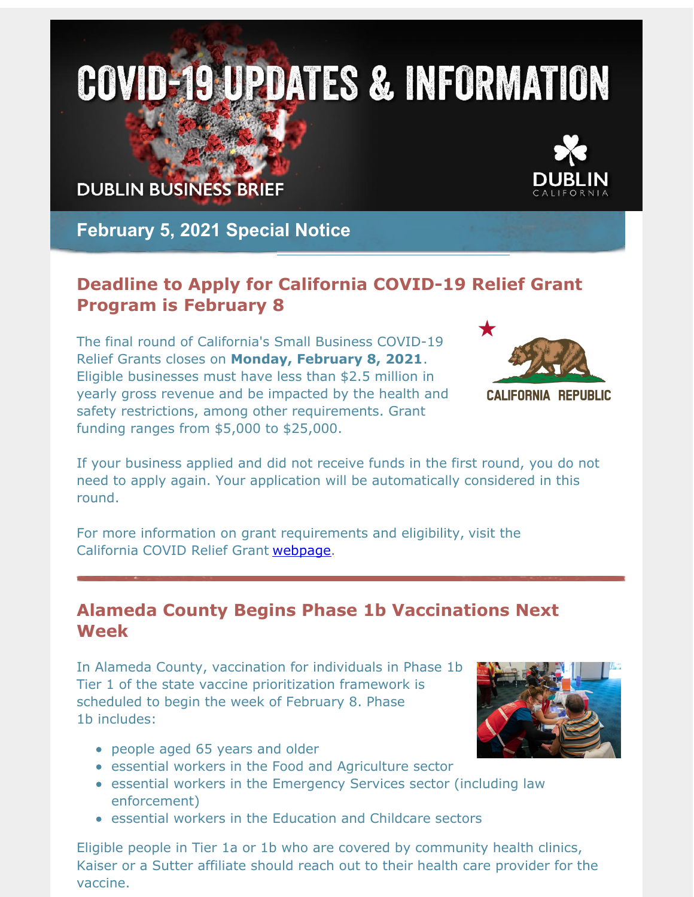# **COVID-19 UPDATES & INFORMATION**

## **DUBLIN BUSINESS BRIEF**

**February 5, 2021 Special Notice**

### **Deadline to Apply for California COVID-19 Relief Grant Program is February 8**

The final round of California's Small Business COVID-19 Relief Grants closes on **Monday, February 8, 2021**. Eligible businesses must have less than \$2.5 million in yearly gross revenue and be impacted by the health and safety restrictions, among other requirements. Grant funding ranges from \$5,000 to \$25,000.



If your business applied and did not receive funds in the first round, you do not need to apply again. Your application will be automatically considered in this round.

For more information on grant requirements and eligibility, visit the California COVID Relief Grant [webpage](http://r20.rs6.net/tn.jsp?f=001Gq0DFrY845-2kKD-UosL_iuBbLMzL5aFiWgdMhRabsSom3lytrrwRn74sivx-GVdCdJwmH_-BXCKAzzLqGKOj5PVlaMSF53oKsxaReEd5jGLFoaaTwRPvCS-EYMW3KrXj_wcnJ97MjZ1ObhRC8rcQQBeK3JB9LFnMCF2yE0oIhKI9M_ap6M5np3qYfoLFaVd_TZHZgeqPerYAEsLWBdc8A==&c=&ch=).

#### **Alameda County Begins Phase 1b Vaccinations Next Week**

In Alameda County, vaccination for individuals in Phase 1b Tier 1 of the state vaccine prioritization framework is scheduled to begin the week of February 8. Phase 1b includes:

- people aged 65 years and older
- essential workers in the Food and Agriculture sector
- essential workers in the Emergency Services sector (including law enforcement)
- essential workers in the Education and Childcare sectors

Eligible people in Tier 1a or 1b who are covered by community health clinics, Kaiser or a Sutter affiliate should reach out to their health care provider for the vaccine.



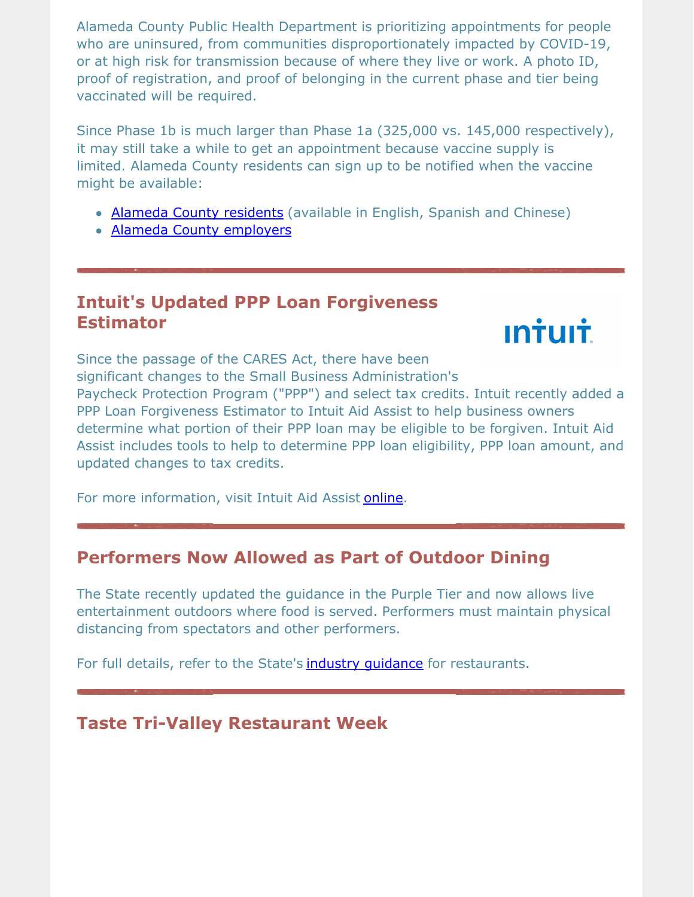Alameda County Public Health Department is prioritizing appointments for people who are uninsured, from communities disproportionately impacted by COVID-19, or at high risk for transmission because of where they live or work. A photo ID, proof of registration, and proof of belonging in the current phase and tier being vaccinated will be required.

Since Phase 1b is much larger than Phase 1a (325,000 vs. 145,000 respectively), it may still take a while to get an appointment because vaccine supply is limited. Alameda County residents can sign up to be notified when the vaccine might be available:

- Alameda County [residents](http://r20.rs6.net/tn.jsp?f=001Gq0DFrY845-2kKD-UosL_iuBbLMzL5aFiWgdMhRabsSom3lytrrwRjWtliGy4Wq7ZbQL0gDc2erE2lGIWlp50gPFBUAiJNYrEDlLVzkPMzXuYxAKU4ZDmiosgq4W5n2hUYY5RYLNZk917nDQByu2LkskVbtU1_gkj_UjDRR9E-Gfixsoj-56WHAIMdbAdRTY&c=&ch=) (available in English, Spanish and Chinese)
- Alameda County [employers](http://r20.rs6.net/tn.jsp?f=001Gq0DFrY845-2kKD-UosL_iuBbLMzL5aFiWgdMhRabsSom3lytrrwRvuLE9UXFwr0RMBE9XuybcsWTJTnKi-zEDgIN61OcWf7pAljpN7xXu3rcKgKtmyx3tbqHMDEmluwGX5Z-bRXwwD-hSULCkNdbIgj_IkmnkWopFq7Dzj2w81CUxp6EMz_iv53I_22VfnXALsnrpj5pNdiE6T7WS00-avNbfD7VHXFo6whZ83sUeE=&c=&ch=)

#### **Intuit's Updated PPP Loan Forgiveness Estimator**



Since the passage of the CARES Act, there have been significant changes to the Small Business Administration's Paycheck Protection Program ("PPP") and select tax credits. Intuit recently added a PPP Loan Forgiveness Estimator to Intuit Aid Assist to help business owners determine what portion of their PPP loan may be eligible to be forgiven. Intuit Aid Assist includes tools to help to determine PPP loan eligibility, PPP loan amount, and updated changes to tax credits.

For more information, visit Intuit Aid Assist [online](http://r20.rs6.net/tn.jsp?f=001Gq0DFrY845-2kKD-UosL_iuBbLMzL5aFiWgdMhRabsSom3lytrrwRjWtliGy4Wq73Ucr_HM7zYvoLkNibB6MiQK7Y1aF8nUwAynKO5xB1O_t2cdvLVLA4IR3JvpIgnNgln1ChQVK2OvVzx6Qz3_M0okBQz9aVUHn10dQKRIDW6chvjZyhzEAet-ZPvclyhpy&c=&ch=).

#### **Performers Now Allowed as Part of Outdoor Dining**

The State recently updated the guidance in the Purple Tier and now allows live entertainment outdoors where food is served. Performers must maintain physical distancing from spectators and other performers.

For full details, refer to the State's industry [guidance](http://r20.rs6.net/tn.jsp?f=001Gq0DFrY845-2kKD-UosL_iuBbLMzL5aFiWgdMhRabsSom3lytrrwRjWtliGy4Wq7wwKVrsmFcQQi53vg1z80MziX9PaDWz7Ekncg9ghO8C7dKIylhtqiDysrfTtnzos781x_ut7AqJ0tr3URkmnhQHoPffe3Sv8cvIYSDN5eAJeDLe-ki97wCRcWJWZKTqqlmXIUyHgA0DsRiJi8RKRRIA==&c=&ch=) for restaurants.

#### **Taste Tri-Valley Restaurant Week**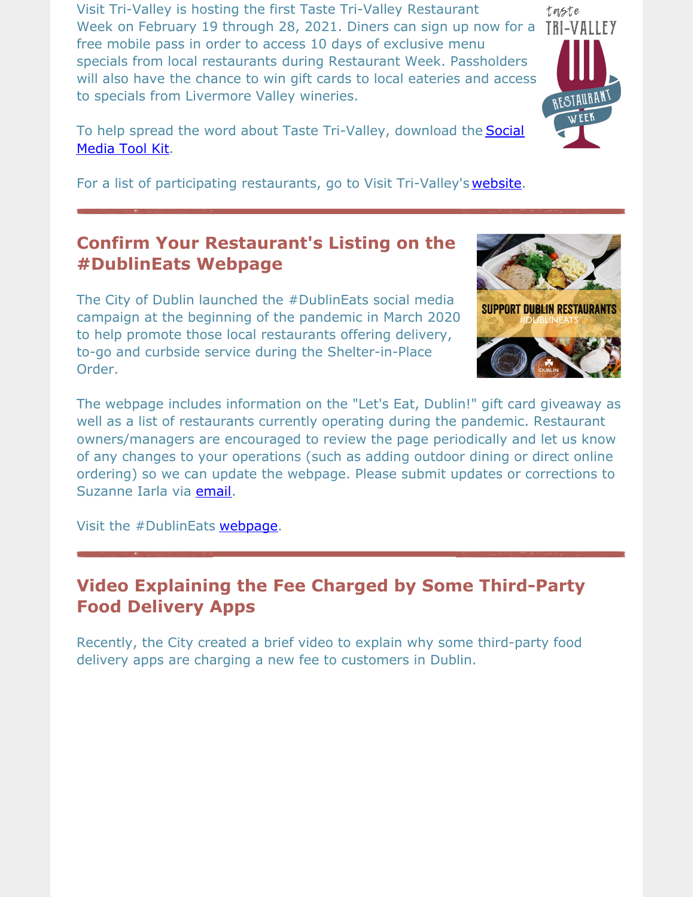Visit Tri-Valley is hosting the first Taste Tri-Valley Restaurant Week on February 19 through 28, 2021. Diners can sign up now for a TRI-VALLEY free mobile pass in order to access 10 days of exclusive menu specials from local restaurants during Restaurant Week. Passholders will also have the chance to win gift cards to local eateries and access to specials from Livermore Valley wineries.

To help spread the word about Taste [Tri-Valley,](http://r20.rs6.net/tn.jsp?f=001Gq0DFrY845-2kKD-UosL_iuBbLMzL5aFiWgdMhRabsSom3lytrrwRjWtliGy4Wq72sdbwH_wh3zvJwKF8v0zPF4LvdLOuteLKvHCAxaOM2TFI3lUUxtobROTwSLJp4KQhTlUqxzXInhE-NxXozDIEeLEWh8lCpuSQRvWVOBzwz6ERKHBfWqiLPr3MV_L8lBvBKOeSKH6cxsK1Cv4VtRGue7hzYZnRw0snatlRQzKT6jAMZfT1GYqkcgXBqNyYuOISMTCoRsRQOSKR3_pn2ThezUdhdcoyCni9l8z13nwxC5t-M00fhj2Cg==&c=&ch=) download the **Social** Media Tool Kit.

For a list of participating restaurants, go to Visit Tri-Valley's [website](http://r20.rs6.net/tn.jsp?f=001Gq0DFrY845-2kKD-UosL_iuBbLMzL5aFiWgdMhRabsSom3lytrrwRlaVmwfPXmTMgFDa3sIof3dImf62RwaoYzKLk8ecfI_WH2gkYqDqpsyp87nBHIMvZ5kKuT0l121mIaCWrQrHsjUGvoCQdCFpI2fxandRPe1sX32z7dYnyeNuxnChoNorDyXZF1dHMKQHxy0s9C1GnpI=&c=&ch=).

## **Confirm Your Restaurant's Listing on the #DublinEats Webpage**

The City of Dublin launched the #DublinEats social media campaign at the beginning of the pandemic in March 2020 to help promote those local restaurants offering delivery, to-go and curbside service during the Shelter-in-Place Order.

The webpage includes information on the "Let's Eat, Dublin!" gift card giveaway as well as a list of restaurants currently operating during the pandemic. Restaurant owners/managers are encouraged to review the page periodically and let us know of any changes to your operations (such as adding outdoor dining or direct online ordering) so we can update the webpage. Please submit updates or corrections to Suzanne Iarla via [email](mailto:suzanne.iarla@dublin.ca.gov).

Visit the #DublinEats [webpage](http://r20.rs6.net/tn.jsp?f=001Gq0DFrY845-2kKD-UosL_iuBbLMzL5aFiWgdMhRabsSom3lytrrwRtHWQ1N-1UXL05kvGc_lZbQ9_Z9jKa7kC89O668ml7MuOh_GViuwLqEe4D14N31etjNFfRfUZn8-_SRA8FWSm2fzEnjLlWUUxrvoEf7iQK70DFmicDE8b_VjXUcQ3Z_ifHdJc0dV3kw_&c=&ch=).

#### **Video Explaining the Fee Charged by Some Third-Party Food Delivery Apps**

Recently, the City created a brief video to explain why some third-party food delivery apps are charging a new fee to customers in Dublin.



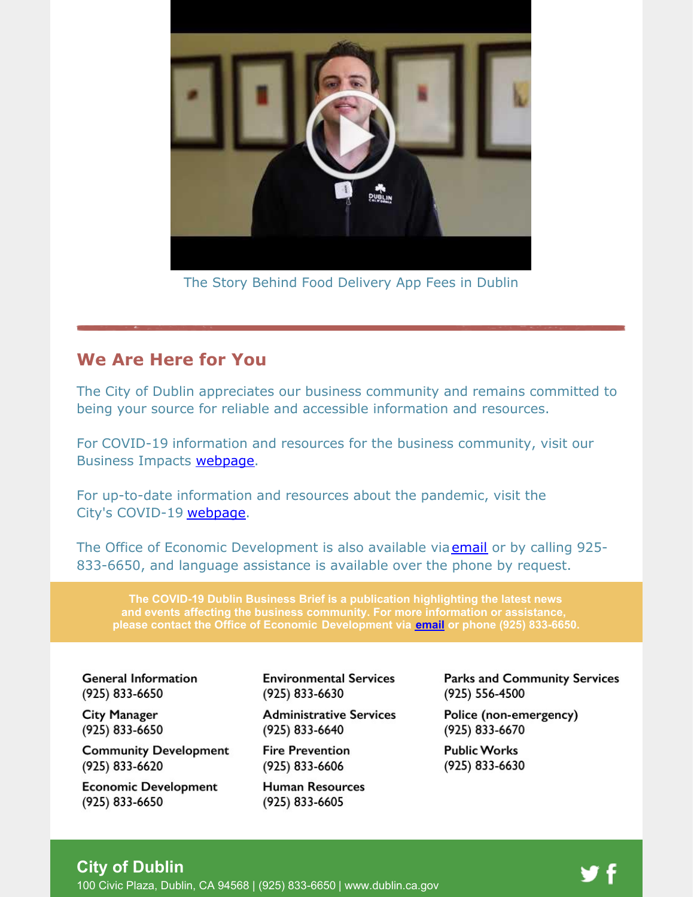

The Story Behind Food Delivery App Fees in Dublin

#### **We Are Here for You**

The City of Dublin appreciates our business community and remains committed to being your source for reliable and accessible information and resources.

For COVID-19 information and resources for the business community, visit our Business Impacts [webpage](http://r20.rs6.net/tn.jsp?f=001Gq0DFrY845-2kKD-UosL_iuBbLMzL5aFiWgdMhRabsSom3lytrrwRtQprCFc3B26fTJa11cL5chgTs0FyP-HNF6WrejRsNU9TWUsqpvR5Pfm5NfX9vCZ04EkfmcuE3hMf-JDH8JucOYzcp2xMa6H0KZPBvEQmBfCMhCavwotrCmcTsX_BTIwWLYgiswr8NayP8c4_tSIExZ_0Bi-gUutrw==&c=&ch=).

For up-to-date information and resources about the pandemic, visit the City's COVID-19 [webpage](http://r20.rs6.net/tn.jsp?f=001Gq0DFrY845-2kKD-UosL_iuBbLMzL5aFiWgdMhRabsSom3lytrrwRr5HK2WBpG76oWe1p9un5Kaz8EiJdaXnqoEQyAAxDBQoHK6Tq2lQwKfd3EidhLcv9jCfsSK4dgZnhczE7Y0lDccKZWikF7IqzGN93fJVy9mOPQ0ZTp6nBiBPu4kDoMTLBqOgobrgWRQY&c=&ch=).

The Office of Economic Development is also available via **[email](mailto:economic.development@dublin.ca.gov)** or by calling 925-833-6650, and language assistance is available over the phone by request.

**The COVID-19 Dublin Business Brief is a publication highlighting the latest news and events affecting the business community. For more information or assistance, please contact the Office of Economic Development via [email](mailto:economic.development@dublin.ca.gov) or phone (925) 833-6650.**

**General Information** (925) 833-6650

**City Manager** (925) 833-6650

**Community Development** (925) 833-6620

**Economic Development** (925) 833-6650

**Environmental Services** (925) 833-6630

**Administrative Services** (925) 833-6640

**Fire Prevention** (925) 833-6606

**Human Resources** (925) 833-6605

**Parks and Community Services** (925) 556-4500

Police (non-emergency) (925) 833-6670

**Public Works** (925) 833-6630

#### **City of Dublin**

100 Civic Plaza, Dublin, CA 94568 | (925) 833-6650 | [www.dublin.ca.gov](http://r20.rs6.net/tn.jsp?f=001Gq0DFrY845-2kKD-UosL_iuBbLMzL5aFiWgdMhRabsSom3lytrrwRlOnBm0TcTKtqRuxeABhR2_IppYJAbl9QcNwdrWbZvg3ejFSCBf9XsVUEg5gVDOs9xZeccxDGCsV94v-E8cjpr7QQziESGR5xKg-12DLErJ_ngBOaJZQq3Q=&c=&ch=)